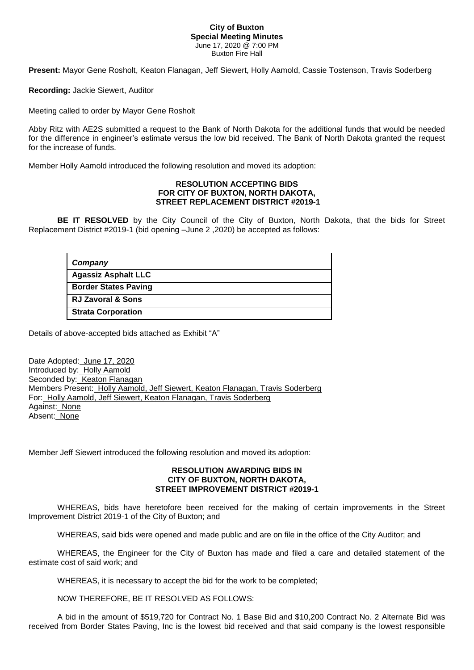## **City of Buxton Special Meeting Minutes** June 17, 2020 @ 7:00 PM Buxton Fire Hall

**Present:** Mayor Gene Rosholt, Keaton Flanagan, Jeff Siewert, Holly Aamold, Cassie Tostenson, Travis Soderberg

**Recording:** Jackie Siewert, Auditor

Meeting called to order by Mayor Gene Rosholt

Abby Ritz with AE2S submitted a request to the Bank of North Dakota for the additional funds that would be needed for the difference in engineer's estimate versus the low bid received. The Bank of North Dakota granted the request for the increase of funds.

Member Holly Aamold introduced the following resolution and moved its adoption:

## **RESOLUTION ACCEPTING BIDS FOR CITY OF BUXTON, NORTH DAKOTA, STREET REPLACEMENT DISTRICT #2019-1**

 **BE IT RESOLVED** by the City Council of the City of Buxton, North Dakota, that the bids for Street Replacement District #2019-1 (bid opening –June 2 ,2020) be accepted as follows:

| Company                      |
|------------------------------|
| <b>Agassiz Asphalt LLC</b>   |
| <b>Border States Paving</b>  |
| <b>RJ Zavoral &amp; Sons</b> |
| <b>Strata Corporation</b>    |

Details of above-accepted bids attached as Exhibit "A"

Date Adopted: June 17, 2020 Introduced by: Holly Aamold Seconded by: Keaton Flanagan Members Present: Holly Aamold, Jeff Siewert, Keaton Flanagan, Travis Soderberg For: Holly Aamold, Jeff Siewert, Keaton Flanagan, Travis Soderberg Against: None Absent: None

Member Jeff Siewert introduced the following resolution and moved its adoption:

## **RESOLUTION AWARDING BIDS IN CITY OF BUXTON, NORTH DAKOTA, STREET IMPROVEMENT DISTRICT #2019-1**

 WHEREAS, bids have heretofore been received for the making of certain improvements in the Street Improvement District 2019-1 of the City of Buxton; and

WHEREAS, said bids were opened and made public and are on file in the office of the City Auditor; and

WHEREAS, the Engineer for the City of Buxton has made and filed a care and detailed statement of the estimate cost of said work; and

WHEREAS, it is necessary to accept the bid for the work to be completed;

NOW THEREFORE, BE IT RESOLVED AS FOLLOWS:

A bid in the amount of \$519,720 for Contract No. 1 Base Bid and \$10,200 Contract No. 2 Alternate Bid was received from Border States Paving, Inc is the lowest bid received and that said company is the lowest responsible